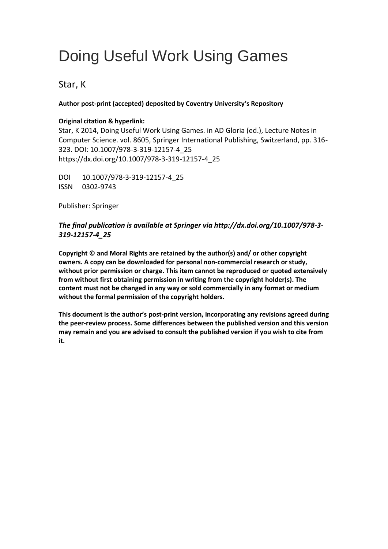# Doing Useful Work Using Games

# Star, K

#### **Author post-print (accepted) deposited by Coventry University's Repository**

## **Original citation & hyperlink:**

Star, K 2014, Doing Useful Work Using Games. in AD Gloria (ed.), Lecture Notes in Computer Science. vol. 8605, Springer International Publishing, Switzerland, pp. 316- 323. DOI: 10.1007/978-3-319-12157-4\_25 https://dx.doi.org/10.1007/978-3-319-12157-4\_25

DOI 10.1007/978-3-319-12157-4\_25 ISSN 0302-9743

Publisher: Springer

# *The final publication is available at Springer via http://dx.doi.org/10.1007/978-3- 319-12157-4\_25*

**Copyright © and Moral Rights are retained by the author(s) and/ or other copyright owners. A copy can be downloaded for personal non-commercial research or study, without prior permission or charge. This item cannot be reproduced or quoted extensively from without first obtaining permission in writing from the copyright holder(s). The content must not be changed in any way or sold commercially in any format or medium without the formal permission of the copyright holders.** 

**This document is the author's post-print version, incorporating any revisions agreed during the peer-review process. Some differences between the published version and this version may remain and you are advised to consult the published version if you wish to cite from it.**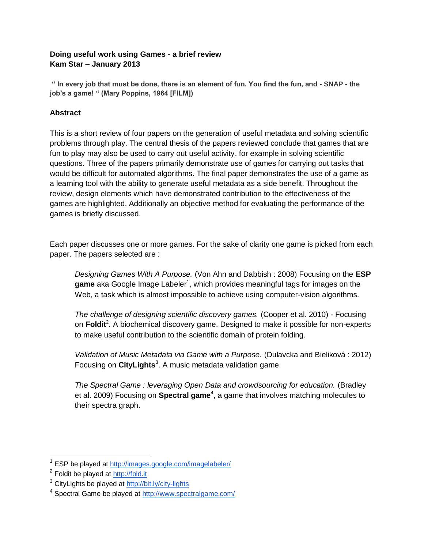# **Doing useful work using Games - a brief review Kam Star – January 2013**

**" In every job that must be done, there is an element of fun. You find the fun, and - SNAP - the job's a game! " (Mary Poppins, 1964 [FILM])** 

# **Abstract**

This is a short review of four papers on the generation of useful metadata and solving scientific problems through play. The central thesis of the papers reviewed conclude that games that are fun to play may also be used to carry out useful activity, for example in solving scientific questions. Three of the papers primarily demonstrate use of games for carrying out tasks that would be difficult for automated algorithms. The final paper demonstrates the use of a game as a learning tool with the ability to generate useful metadata as a side benefit. Throughout the review, design elements which have demonstrated contribution to the effectiveness of the games are highlighted. Additionally an objective method for evaluating the performance of the games is briefly discussed.

Each paper discusses one or more games. For the sake of clarity one game is picked from each paper. The papers selected are :

*Designing Games With A Purpose.* (Von Ahn and Dabbish : 2008) Focusing on the **ESP**  game aka Google Image Labeler<sup>1</sup>, which provides meaningful tags for images on the Web, a task which is almost impossible to achieve using computer-vision algorithms.

*The challenge of designing scientific discovery games.* (Cooper et al. 2010) - Focusing on Foldit<sup>2</sup>. A biochemical discovery game. Designed to make it possible for non-experts to make useful contribution to the scientific domain of protein folding.

*Validation of Music Metadata via Game with a Purpose.* (Dulavcka and Bieliková : 2012) Focusing on CityLights<sup>3</sup>. A music metadata validation game.

*The Spectral Game : leveraging Open Data and crowdsourcing for education.* (Bradley et al. 2009) Focusing on **Spectral game**<sup>4</sup>, a game that involves matching molecules to their spectra graph.

 $\overline{a}$ <sup>1</sup> ESP be played a[t http://images.google.com/imagelabeler/](http://images.google.com/imagelabeler/)

<sup>&</sup>lt;sup>2</sup> Foldit be played at <u>http://fold.it</u>

<sup>&</sup>lt;sup>3</sup> CityLights be played at<http://bit.ly/city-lights>

<sup>&</sup>lt;sup>4</sup> Spectral Game be played at<http://www.spectralgame.com/>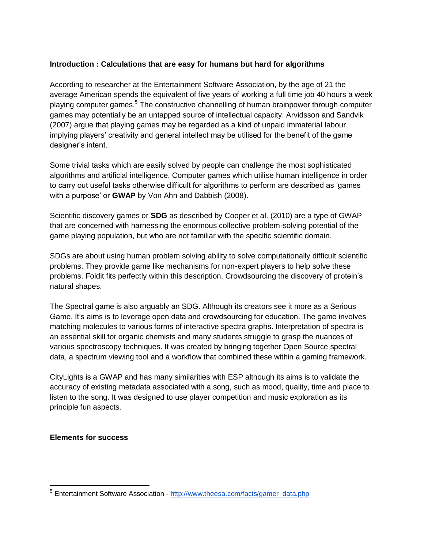## **Introduction : Calculations that are easy for humans but hard for algorithms**

According to researcher at the Entertainment Software Association, by the age of 21 the average American spends the equivalent of five years of working a full time job 40 hours a week playing computer games.<sup>5</sup> The constructive channelling of human brainpower through computer games may potentially be an untapped source of intellectual capacity. Arvidsson and Sandvik (2007) argue that playing games may be regarded as a kind of unpaid immaterial labour, implying players' creativity and general intellect may be utilised for the benefit of the game designer's intent.

Some trivial tasks which are easily solved by people can challenge the most sophisticated algorithms and artificial intelligence. Computer games which utilise human intelligence in order to carry out useful tasks otherwise difficult for algorithms to perform are described as 'games with a purpose' or **GWAP** by Von Ahn and Dabbish (2008).

Scientific discovery games or **SDG** as described by Cooper et al. (2010) are a type of GWAP that are concerned with harnessing the enormous collective problem-solving potential of the game playing population, but who are not familiar with the specific scientific domain.

SDGs are about using human problem solving ability to solve computationally difficult scientific problems. They provide game like mechanisms for non-expert players to help solve these problems. Foldit fits perfectly within this description. Crowdsourcing the discovery of protein's natural shapes.

The Spectral game is also arguably an SDG. Although its creators see it more as a Serious Game. It's aims is to leverage open data and crowdsourcing for education. The game involves matching molecules to various forms of interactive spectra graphs. Interpretation of spectra is an essential skill for organic chemists and many students struggle to grasp the nuances of various spectroscopy techniques. It was created by bringing together Open Source spectral data, a spectrum viewing tool and a workflow that combined these within a gaming framework.

CityLights is a GWAP and has many similarities with ESP although its aims is to validate the accuracy of existing metadata associated with a song, such as mood, quality, time and place to listen to the song. It was designed to use player competition and music exploration as its principle fun aspects.

#### **Elements for success**

<sup>&</sup>lt;sup>5</sup> Entertainment Software Association - [http://www.theesa.com/facts/gamer\\_data.php](http://www.theesa.com/facts/gamer_data.php)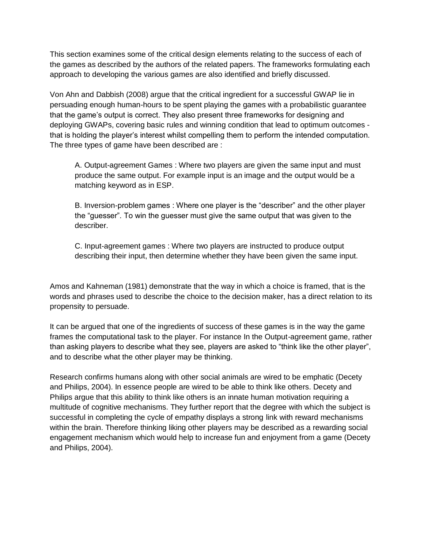This section examines some of the critical design elements relating to the success of each of the games as described by the authors of the related papers. The frameworks formulating each approach to developing the various games are also identified and briefly discussed.

Von Ahn and Dabbish (2008) argue that the critical ingredient for a successful GWAP lie in persuading enough human-hours to be spent playing the games with a probabilistic guarantee that the game's output is correct. They also present three frameworks for designing and deploying GWAPs, covering basic rules and winning condition that lead to optimum outcomes that is holding the player's interest whilst compelling them to perform the intended computation. The three types of game have been described are :

A. Output-agreement Games : Where two players are given the same input and must produce the same output. For example input is an image and the output would be a matching keyword as in ESP.

B. Inversion-problem games : Where one player is the "describer" and the other player the "guesser". To win the guesser must give the same output that was given to the describer.

C. Input-agreement games : Where two players are instructed to produce output describing their input, then determine whether they have been given the same input.

Amos and Kahneman (1981) demonstrate that the way in which a choice is framed, that is the words and phrases used to describe the choice to the decision maker, has a direct relation to its propensity to persuade.

It can be argued that one of the ingredients of success of these games is in the way the game frames the computational task to the player. For instance In the Output-agreement game, rather than asking players to describe what they see, players are asked to "think like the other player", and to describe what the other player may be thinking.

Research confirms humans along with other social animals are wired to be emphatic (Decety and Philips, 2004). In essence people are wired to be able to think like others. Decety and Philips argue that this ability to think like others is an innate human motivation requiring a multitude of cognitive mechanisms. They further report that the degree with which the subject is successful in completing the cycle of empathy displays a strong link with reward mechanisms within the brain. Therefore thinking liking other players may be described as a rewarding social engagement mechanism which would help to increase fun and enjoyment from a game (Decety and Philips, 2004).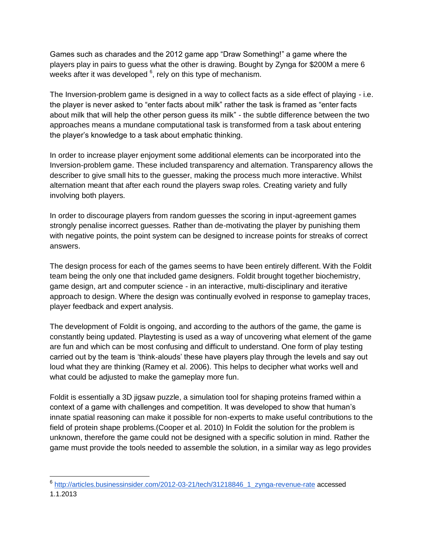Games such as charades and the 2012 game app "Draw Something!" a game where the players play in pairs to guess what the other is drawing. Bought by Zynga for \$200M a mere 6 weeks after it was developed <sup>6</sup>, rely on this type of mechanism.

The Inversion-problem game is designed in a way to collect facts as a side effect of playing - i.e. the player is never asked to "enter facts about milk" rather the task is framed as "enter facts about milk that will help the other person guess its milk" - the subtle difference between the two approaches means a mundane computational task is transformed from a task about entering the player's knowledge to a task about emphatic thinking.

In order to increase player enjoyment some additional elements can be incorporated into the Inversion-problem game. These included transparency and alternation. Transparency allows the describer to give small hits to the guesser, making the process much more interactive. Whilst alternation meant that after each round the players swap roles. Creating variety and fully involving both players.

In order to discourage players from random guesses the scoring in input-agreement games strongly penalise incorrect guesses. Rather than de-motivating the player by punishing them with negative points, the point system can be designed to increase points for streaks of correct answers.

The design process for each of the games seems to have been entirely different. With the Foldit team being the only one that included game designers. Foldit brought together biochemistry, game design, art and computer science - in an interactive, multi-disciplinary and iterative approach to design. Where the design was continually evolved in response to gameplay traces, player feedback and expert analysis.

The development of Foldit is ongoing, and according to the authors of the game, the game is constantly being updated. Playtesting is used as a way of uncovering what element of the game are fun and which can be most confusing and difficult to understand. One form of play testing carried out by the team is 'think-alouds' these have players play through the levels and say out loud what they are thinking (Ramey et al. 2006). This helps to decipher what works well and what could be adjusted to make the gameplay more fun.

Foldit is essentially a 3D jigsaw puzzle, a simulation tool for shaping proteins framed within a context of a game with challenges and competition. It was developed to show that human's innate spatial reasoning can make it possible for non-experts to make useful contributions to the field of protein shape problems.(Cooper et al. 2010) In Foldit the solution for the problem is unknown, therefore the game could not be designed with a specific solution in mind. Rather the game must provide the tools needed to assemble the solution, in a similar way as lego provides

e<br>[http://articles.businessinsider.com/2012-03-21/tech/31218846\\_1\\_zynga-revenue-rate](http://articles.businessinsider.com/2012-03-21/tech/31218846_1_zynga-revenue-rate) accessed

<sup>1.1.2013</sup>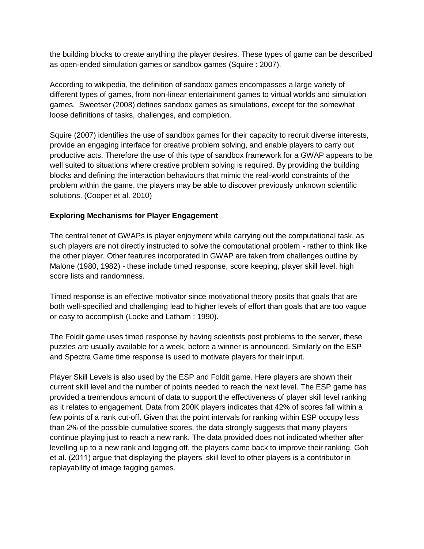the building blocks to create anything the player desires. These types of game can be described as open-ended simulation games or sandbox games (Squire : 2007).

According to wikipedia, the definition of sandbox games encompasses a large variety of different types of games, from non-linear entertainment games to virtual worlds and simulation games. Sweetser (2008) defines sandbox games as simulations, except for the somewhat loose definitions of tasks, challenges, and completion.

Squire (2007) identifies the use of sandbox games for their capacity to recruit diverse interests, provide an engaging interface for creative problem solving, and enable players to carry out productive acts. Therefore the use of this type of sandbox framework for a GWAP appears to be well suited to situations where creative problem solving is required. By providing the building blocks and defining the interaction behaviours that mimic the real-world constraints of the problem within the game, the players may be able to discover previously unknown scientific solutions. (Cooper et al. 2010)

# **Exploring Mechanisms for Player Engagement**

The central tenet of GWAPs is player enjoyment while carrying out the computational task, as such players are not directly instructed to solve the computational problem - rather to think like the other player. Other features incorporated in GWAP are taken from challenges outline by Malone (1980, 1982) - these include timed response, score keeping, player skill level, high score lists and randomness.

Timed response is an effective motivator since motivational theory posits that goals that are both well-specified and challenging lead to higher levels of effort than goals that are too vague or easy to accomplish (Locke and Latham : 1990).

The Foldit game uses timed response by having scientists post problems to the server, these puzzles are usually available for a week, before a winner is announced. Similarly on the ESP and Spectra Game time response is used to motivate players for their input.

Player Skill Levels is also used by the ESP and Foldit game. Here players are shown their current skill level and the number of points needed to reach the next level. The ESP game has provided a tremendous amount of data to support the effectiveness of player skill level ranking as it relates to engagement. Data from 200K players indicates that 42% of scores fall within a few points of a rank cut-off. Given that the point intervals for ranking within ESP occupy less than 2% of the possible cumulative scores, the data strongly suggests that many players continue playing just to reach a new rank. The data provided does not indicated whether after levelling up to a new rank and logging off, the players came back to improve their ranking. Goh et al. (2011) argue that displaying the players' skill level to other players is a contributor in replayability of image tagging games.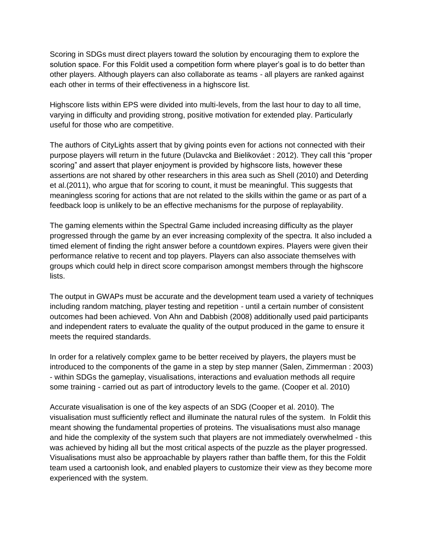Scoring in SDGs must direct players toward the solution by encouraging them to explore the solution space. For this Foldit used a competition form where player's goal is to do better than other players. Although players can also collaborate as teams - all players are ranked against each other in terms of their effectiveness in a highscore list.

Highscore lists within EPS were divided into multi-levels, from the last hour to day to all time, varying in difficulty and providing strong, positive motivation for extended play. Particularly useful for those who are competitive.

The authors of CityLights assert that by giving points even for actions not connected with their purpose players will return in the future (Dulavcka and Bielikováet : 2012). They call this "proper scoring" and assert that player enjoyment is provided by highscore lists, however these assertions are not shared by other researchers in this area such as Shell (2010) and Deterding et al.(2011), who argue that for scoring to count, it must be meaningful. This suggests that meaningless scoring for actions that are not related to the skills within the game or as part of a feedback loop is unlikely to be an effective mechanisms for the purpose of replayability.

The gaming elements within the Spectral Game included increasing difficulty as the player progressed through the game by an ever increasing complexity of the spectra. It also included a timed element of finding the right answer before a countdown expires. Players were given their performance relative to recent and top players. Players can also associate themselves with groups which could help in direct score comparison amongst members through the highscore lists.

The output in GWAPs must be accurate and the development team used a variety of techniques including random matching, player testing and repetition - until a certain number of consistent outcomes had been achieved. Von Ahn and Dabbish (2008) additionally used paid participants and independent raters to evaluate the quality of the output produced in the game to ensure it meets the required standards.

In order for a relatively complex game to be better received by players, the players must be introduced to the components of the game in a step by step manner (Salen, Zimmerman : 2003) - within SDGs the gameplay, visualisations, interactions and evaluation methods all require some training - carried out as part of introductory levels to the game. (Cooper et al. 2010)

Accurate visualisation is one of the key aspects of an SDG (Cooper et al. 2010). The visualisation must sufficiently reflect and illuminate the natural rules of the system. In Foldit this meant showing the fundamental properties of proteins. The visualisations must also manage and hide the complexity of the system such that players are not immediately overwhelmed - this was achieved by hiding all but the most critical aspects of the puzzle as the player progressed. Visualisations must also be approachable by players rather than baffle them, for this the Foldit team used a cartoonish look, and enabled players to customize their view as they become more experienced with the system.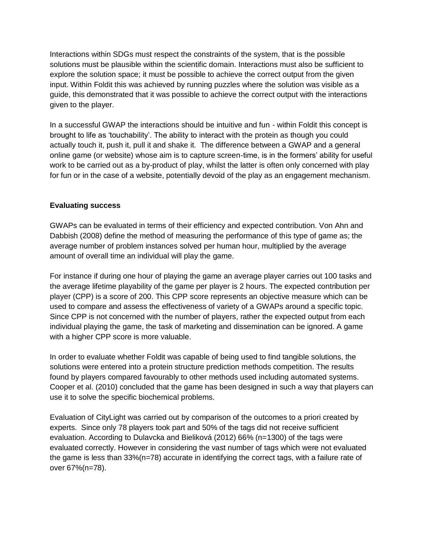Interactions within SDGs must respect the constraints of the system, that is the possible solutions must be plausible within the scientific domain. Interactions must also be sufficient to explore the solution space; it must be possible to achieve the correct output from the given input. Within Foldit this was achieved by running puzzles where the solution was visible as a guide, this demonstrated that it was possible to achieve the correct output with the interactions given to the player.

In a successful GWAP the interactions should be intuitive and fun - within Foldit this concept is brought to life as 'touchability'. The ability to interact with the protein as though you could actually touch it, push it, pull it and shake it. The difference between a GWAP and a general online game (or website) whose aim is to capture screen-time, is in the formers' ability for useful work to be carried out as a by-product of play, whilst the latter is often only concerned with play for fun or in the case of a website, potentially devoid of the play as an engagement mechanism.

#### **Evaluating success**

GWAPs can be evaluated in terms of their efficiency and expected contribution. Von Ahn and Dabbish (2008) define the method of measuring the performance of this type of game as; the average number of problem instances solved per human hour, multiplied by the average amount of overall time an individual will play the game.

For instance if during one hour of playing the game an average player carries out 100 tasks and the average lifetime playability of the game per player is 2 hours. The expected contribution per player (CPP) is a score of 200. This CPP score represents an objective measure which can be used to compare and assess the effectiveness of variety of a GWAPs around a specific topic. Since CPP is not concerned with the number of players, rather the expected output from each individual playing the game, the task of marketing and dissemination can be ignored. A game with a higher CPP score is more valuable.

In order to evaluate whether Foldit was capable of being used to find tangible solutions, the solutions were entered into a protein structure prediction methods competition. The results found by players compared favourably to other methods used including automated systems. Cooper et al. (2010) concluded that the game has been designed in such a way that players can use it to solve the specific biochemical problems.

Evaluation of CityLight was carried out by comparison of the outcomes to a priori created by experts. Since only 78 players took part and 50% of the tags did not receive sufficient evaluation. According to Dulavcka and Bieliková (2012) 66% (n=1300) of the tags were evaluated correctly. However in considering the vast number of tags which were not evaluated the game is less than 33%(n=78) accurate in identifying the correct tags, with a failure rate of over 67%(n=78).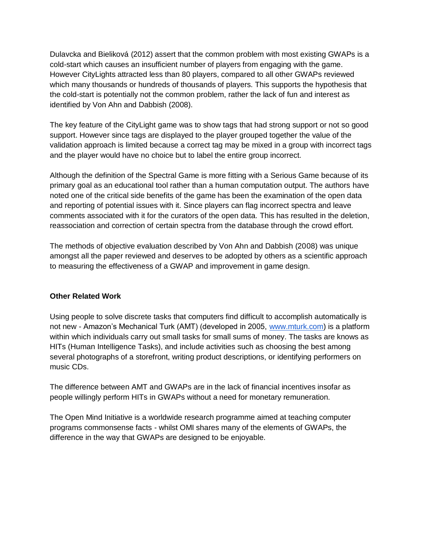Dulavcka and Bieliková (2012) assert that the common problem with most existing GWAPs is a cold-start which causes an insufficient number of players from engaging with the game. However CityLights attracted less than 80 players, compared to all other GWAPs reviewed which many thousands or hundreds of thousands of players. This supports the hypothesis that the cold-start is potentially not the common problem, rather the lack of fun and interest as identified by Von Ahn and Dabbish (2008).

The key feature of the CityLight game was to show tags that had strong support or not so good support. However since tags are displayed to the player grouped together the value of the validation approach is limited because a correct tag may be mixed in a group with incorrect tags and the player would have no choice but to label the entire group incorrect.

Although the definition of the Spectral Game is more fitting with a Serious Game because of its primary goal as an educational tool rather than a human computation output. The authors have noted one of the critical side benefits of the game has been the examination of the open data and reporting of potential issues with it. Since players can flag incorrect spectra and leave comments associated with it for the curators of the open data. This has resulted in the deletion, reassociation and correction of certain spectra from the database through the crowd effort.

The methods of objective evaluation described by Von Ahn and Dabbish (2008) was unique amongst all the paper reviewed and deserves to be adopted by others as a scientific approach to measuring the effectiveness of a GWAP and improvement in game design.

#### **Other Related Work**

Using people to solve discrete tasks that computers find difficult to accomplish automatically is not new - Amazon's Mechanical Turk (AMT) (developed in 2005, [www.mturk.com\)](http://www.mturk.com/) is a platform within which individuals carry out small tasks for small sums of money. The tasks are knows as HITs (Human Intelligence Tasks), and include activities such as choosing the best among several photographs of a storefront, writing product descriptions, or identifying performers on music CDs.

The difference between AMT and GWAPs are in the lack of financial incentives insofar as people willingly perform HITs in GWAPs without a need for monetary remuneration.

The Open Mind Initiative is a worldwide research programme aimed at teaching computer programs commonsense facts - whilst OMI shares many of the elements of GWAPs, the difference in the way that GWAPs are designed to be enjoyable.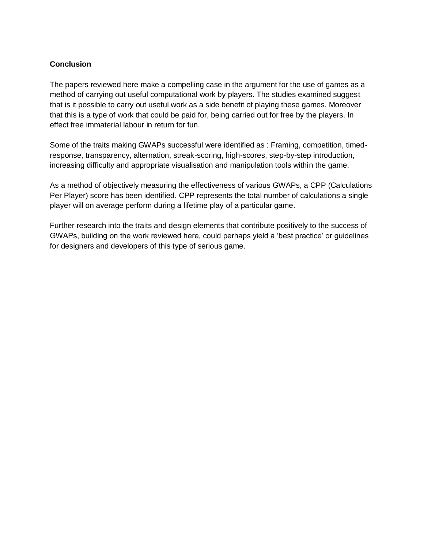#### **Conclusion**

The papers reviewed here make a compelling case in the argument for the use of games as a method of carrying out useful computational work by players. The studies examined suggest that is it possible to carry out useful work as a side benefit of playing these games. Moreover that this is a type of work that could be paid for, being carried out for free by the players. In effect free immaterial labour in return for fun.

Some of the traits making GWAPs successful were identified as : Framing, competition, timedresponse, transparency, alternation, streak-scoring, high-scores, step-by-step introduction, increasing difficulty and appropriate visualisation and manipulation tools within the game.

As a method of objectively measuring the effectiveness of various GWAPs, a CPP (Calculations Per Player) score has been identified. CPP represents the total number of calculations a single player will on average perform during a lifetime play of a particular game.

Further research into the traits and design elements that contribute positively to the success of GWAPs, building on the work reviewed here, could perhaps yield a 'best practice' or guidelines for designers and developers of this type of serious game.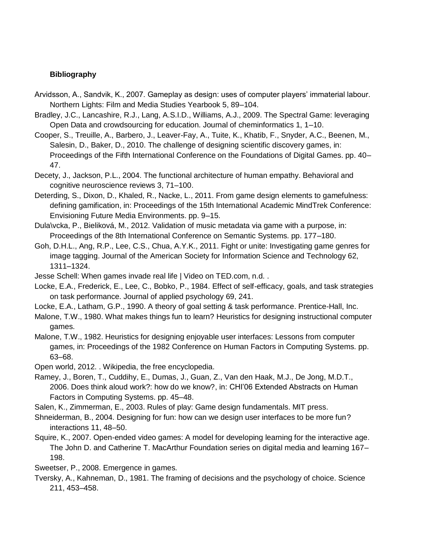#### **Bibliography**

- Arvidsson, A., Sandvik, K., 2007. Gameplay as design: uses of computer players' immaterial labour. Northern Lights: Film and Media Studies Yearbook 5, 89–104.
- Bradley, J.C., Lancashire, R.J., Lang, A.S.I.D., Williams, A.J., 2009. The Spectral Game: leveraging Open Data and crowdsourcing for education. Journal of cheminformatics 1, 1–10.
- Cooper, S., Treuille, A., Barbero, J., Leaver-Fay, A., Tuite, K., Khatib, F., Snyder, A.C., Beenen, M., Salesin, D., Baker, D., 2010. The challenge of designing scientific discovery games, in: Proceedings of the Fifth International Conference on the Foundations of Digital Games. pp. 40– 47.
- Decety, J., Jackson, P.L., 2004. The functional architecture of human empathy. Behavioral and cognitive neuroscience reviews 3, 71–100.
- Deterding, S., Dixon, D., Khaled, R., Nacke, L., 2011. From game design elements to gamefulness: defining gamification, in: Proceedings of the 15th International Academic MindTrek Conference: Envisioning Future Media Environments. pp. 9–15.
- Dula\vcka, P., Bieliková, M., 2012. Validation of music metadata via game with a purpose, in: Proceedings of the 8th International Conference on Semantic Systems. pp. 177–180.
- Goh, D.H.L., Ang, R.P., Lee, C.S., Chua, A.Y.K., 2011. Fight or unite: Investigating game genres for image tagging. Journal of the American Society for Information Science and Technology 62, 1311–1324.
- Jesse Schell: When games invade real life | Video on TED.com, n.d. .
- Locke, E.A., Frederick, E., Lee, C., Bobko, P., 1984. Effect of self-efficacy, goals, and task strategies on task performance. Journal of applied psychology 69, 241.
- Locke, E.A., Latham, G.P., 1990. A theory of goal setting & task performance. Prentice-Hall, Inc.
- Malone, T.W., 1980. What makes things fun to learn? Heuristics for designing instructional computer games.
- Malone, T.W., 1982. Heuristics for designing enjoyable user interfaces: Lessons from computer games, in: Proceedings of the 1982 Conference on Human Factors in Computing Systems. pp. 63–68.
- Open world, 2012. . Wikipedia, the free encyclopedia.
- Ramey, J., Boren, T., Cuddihy, E., Dumas, J., Guan, Z., Van den Haak, M.J., De Jong, M.D.T., 2006. Does think aloud work?: how do we know?, in: CHI'06 Extended Abstracts on Human Factors in Computing Systems. pp. 45–48.
- Salen, K., Zimmerman, E., 2003. Rules of play: Game design fundamentals. MIT press.
- Shneiderman, B., 2004. Designing for fun: how can we design user interfaces to be more fun? interactions 11, 48–50.
- Squire, K., 2007. Open-ended video games: A model for developing learning for the interactive age. The John D. and Catherine T. MacArthur Foundation series on digital media and learning 167– 198.
- Sweetser, P., 2008. Emergence in games.
- Tversky, A., Kahneman, D., 1981. The framing of decisions and the psychology of choice. Science 211, 453–458.